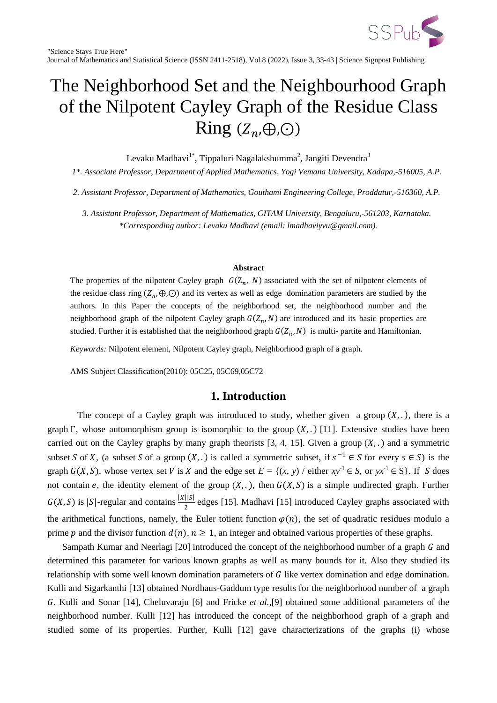

# The Neighborhood Set and the Neighbourhood Graph of the Nilpotent Cayley Graph of the Residue Class Ring  $(Z_n,\oplus,\odot)$

Levaku Madhavi $^{1*}$ , Tippaluri Nagalakshumma $^2$ , Jangiti Devendra $^3$ 

*1\*. Associate Professor, Department of Applied Mathematics, Yogi Vemana University, Kadapa,-516005, A.P.*

*2. Assistant Professor, Department of Mathematics, Gouthami Engineering College, Proddatur,-516360, A.P.*

*3. Assistant Professor, Department of Mathematics, GITAM University, Bengaluru,-561203, Karnataka. \*Corresponding author: Levaku Madhavi (email: lmadhaviyvu@gmail.com).*

#### **Abstract**

The properties of the nilpotent Cayley graph  $G(Z_n, N)$  associated with the set of nilpotent elements of the residue class ring  $(Z_n, \oplus, \odot)$  and its vertex as well as edge domination parameters are studied by the authors. In this Paper the concepts of the neighborhood set, the neighborhood number and the neighborhood graph of the nilpotent Cayley graph  $G(Z_n, N)$  are introduced and its basic properties are studied. Further it is established that the neighborhood graph  $G(Z_n, N)$  is multi- partite and Hamiltonian.

*Keywords:* Nilpotent element, Nilpotent Cayley graph, Neighborhood graph of a graph.

AMS Subject Classification(2010): 05C25, 05C69,05C72

# **1. Introduction**

The concept of a Cayley graph was introduced to study, whether given a group  $(X, .)$ , there is a graph  $\Gamma$ , whose automorphism group is isomorphic to the group  $(X,.)$  [11]. Extensive studies have been carried out on the Cayley graphs by many graph theorists  $[3, 4, 15]$ . Given a group  $(X, .)$  and a symmetric subset S of X, (a subset S of a group  $(X, .)$  is called a symmetric subset, if  $s^{-1} \in S$  for every  $s \in S$ ) is the graph  $G(X, S)$ , whose vertex set V is X and the edge set  $E = \{(x, y) / \text{either } xy^{-1} \in S, \text{ or } yx^{-1} \in S\}$ . If S does not contain e, the identity element of the group  $(X, \ldots)$ , then  $G(X, S)$  is a simple undirected graph. Further  $G(X, S)$  is |S|-regular and contains  $\frac{|X||S|}{2}$  edges [15]. Madhavi [15] introduced Cayley graphs associated with the arithmetical functions, namely, the Euler totient function  $\varphi(n)$ , the set of quadratic residues modulo a prime p and the divisor function  $d(n)$ ,  $n \ge 1$ , an integer and obtained various properties of these graphs.

Sampath Kumar and Neerlagi [20] introduced the concept of the neighborhood number of a graph  $G$  and determined this parameter for various known graphs as well as many bounds for it. Also they studied its relationship with some well known domination parameters of  $G$  like vertex domination and edge domination. Kulli and Sigarkanthi [13] obtained Nordhaus-Gaddum type results for the neighborhood number of a graph . Kulli and Sonar [14], Cheluvaraju [6] and Fricke *et al.,*[9] obtained some additional parameters of the neighborhood number. Kulli [12] has introduced the concept of the neighborhood graph of a graph and studied some of its properties. Further, Kulli [12] gave characterizations of the graphs (i) whose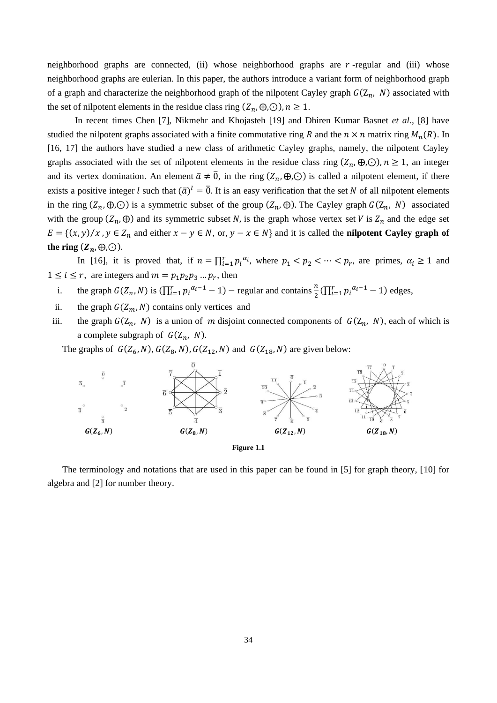neighborhood graphs are connected, (ii) whose neighborhood graphs are  $r$ -regular and (iii) whose neighborhood graphs are eulerian. In this paper, the authors introduce a variant form of neighborhood graph of a graph and characterize the neighborhood graph of the nilpotent Cayley graph  $G(Z_n, N)$  associated with the set of nilpotent elements in the residue class ring  $(Z_n, \oplus, \odot)$ ,  $n \ge 1$ .

 In recent times Chen [7], Nikmehr and Khojasteh [19] and Dhiren Kumar Basnet *et al.,* [8] have studied the nilpotent graphs associated with a finite commutative ring R and the  $n \times n$  matrix ring  $M_n(R)$ . In [16, 17] the authors have studied a new class of arithmetic Cayley graphs, namely, the nilpotent Cayley graphs associated with the set of nilpotent elements in the residue class ring  $(Z_n, \oplus, \odot)$ ,  $n \ge 1$ , an integer and its vertex domination. An element  $\bar{a} \neq \bar{0}$ , in the ring  $(Z_n, \oplus, \odot)$  is called a nilpotent element, if there exists a positive integer l such that  $(\bar{a})^l = \bar{0}$ . It is an easy verification that the set N of all nilpotent elements in the ring  $(Z_n, \oplus, \odot)$  is a symmetric subset of the group  $(Z_n, \oplus)$ . The Cayley graph  $G(Z_n, N)$  associated with the group  $(Z_n, \oplus)$  and its symmetric subset N, is the graph whose vertex set V is  $Z_n$  and the edge set  $E = \{(x, y) / x, y \in Z_n \text{ and either } x - y \in N, \text{ or, } y - x \in N\}$  and it is called the **nilpotent Cayley graph of** the ring  $(\mathbb{Z}_n, \oplus, \odot)$ .

In [16], it is proved that, if  $n = \prod_{i=1}^r p_i^{\alpha_i}$ , where  $p_1 < p_2 < \cdots < p_r$ , are primes,  $\alpha_i \ge 1$  and  $1 \leq i \leq r$ , are integers and  $m = p_1 p_2 p_3 ... p_r$ , then

- i. the graph  $G(Z_n, N)$  is  $(\prod_{i=1}^r p_i^{\alpha_i-1} 1)$  regular and contains  $\frac{n}{2}(\prod_{i=1}^r p_i^{\alpha_i-1} 1)$  edges,
- ii. the graph  $G(Z_m, N)$  contains only vertices and
- iii. the graph  $G(Z_n, N)$  is a union of m disjoint connected components of  $G(Z_n, N)$ , each of which is a complete subgraph of  $G(Z_n, N)$ .

The graphs of  $G(Z_6, N)$ ,  $G(Z_8, N)$ ,  $G(Z_{12}, N)$  and  $G(Z_{18}, N)$  are given below:



**Figure 1.1**

The terminology and notations that are used in this paper can be found in [5] for graph theory, [10] for algebra and [2] for number theory.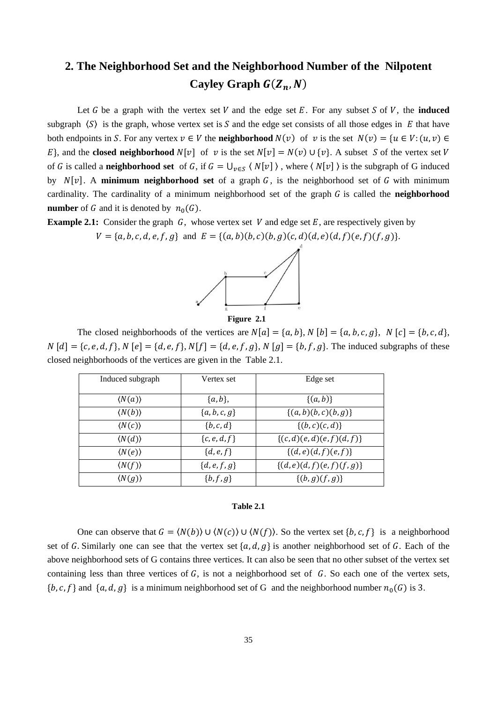# **2. The Neighborhood Set and the Neighborhood Number of the Nilpotent Cayley Graph**  $G(Z_n, N)$

Let G be a graph with the vertex set V and the edge set E. For any subset S of V, the **induced** subgraph  $\langle S \rangle$  is the graph, whose vertex set is S and the edge set consists of all those edges in E that have both endpoints in S. For any vertex  $v \in V$  the **neighborhood**  $N(v)$  of v is the set  $N(v) = \{u \in V : (u, v) \in V\}$ E<sub>l</sub>, and the **closed neighborhood**  $N[v]$  of v is the set  $N[v] = N(v) \cup \{v\}$ . A subset S of the vertex set V of G is called a **neighborhood set** of G, if  $G = \bigcup_{v \in S} \langle N[v] \rangle$ , where  $\langle N[v] \rangle$  is the subgraph of G induced by  $N[v]$ . A **minimum neighborhood set** of a graph  $G$ , is the neighborhood set of G with minimum cardinality. The cardinality of a minimum neighborhood set of the graph  $G$  is called the **neighborhood number** of G and it is denoted by  $n_0(G)$ .

**Example 2.1:** Consider the graph  $G$ , whose vertex set V and edge set E, are respectively given by  $V = \{a, b, c, d, e, f, g\}$  and  $E = \{(a, b)(b, c)(b, g)(c, d)(d, e)(d, f)(e, f)(f, g)\}.$ 





The closed neighborhoods of the vertices are  $N[a] = \{a, b\}$ ,  $N[b] = \{a, b, c, g\}$ ,  $N[c] = \{b, c, d\}$ ,  $N [d] = \{c, e, d, f\}$ ,  $N [e] = \{d, e, f\}$ ,  $N [f] = \{d, e, f, g\}$ ,  $N [g] = \{b, f, g\}$ . The induced subgraphs of these closed neighborhoods of the vertices are given in the Table 2.1.

| Induced subgraph       | Vertex set     | Edge set                    |
|------------------------|----------------|-----------------------------|
|                        |                |                             |
| $\langle N(a) \rangle$ | $\{a, b\},\$   | $\{(a, b)\}\$               |
|                        |                |                             |
| $\langle N(b) \rangle$ | ${a,b,c,g}$    | $\{(a,b)(b,c)(b,g)\}\$      |
|                        |                |                             |
| $\langle N(c) \rangle$ | ${b, c, d}$    | $\{(b,c)(c,d)\}\$           |
| $\langle N(d) \rangle$ | $\{c,e,d,f\}$  | $\{(c,d)(e,d)(e,f)(d,f)\}\$ |
|                        |                |                             |
| $\langle N(e) \rangle$ | $\{d,e,f\}$    | $\{(d,e)(d,f)(e,f)\}$       |
| $\langle N(f) \rangle$ | ${d, e, f, g}$ | $\{(d,e)(d,f)(e,f)(f,g)\}$  |
|                        |                |                             |
| $\langle N(g) \rangle$ | ${b, f, g}$    | $\{(b,g)(f,g)\}\$           |
|                        |                |                             |

#### **Table 2.1**

One can observe that  $G = \langle N(b) \rangle \cup \langle N(c) \rangle \cup \langle N(f) \rangle$ . So the vertex set  $\{b, c, f\}$  is a neighborhood set of G. Similarly one can see that the vertex set  $\{a, d, g\}$  is another neighborhood set of G. Each of the above neighborhood sets of G contains three vertices. It can also be seen that no other subset of the vertex set containing less than three vertices of  $G$ , is not a neighborhood set of  $G$ . So each one of the vertex sets,  $\{b,c,f\}$  and  $\{a,d,g\}$  is a minimum neighborhood set of G and the neighborhood number  $n_0(G)$  is 3.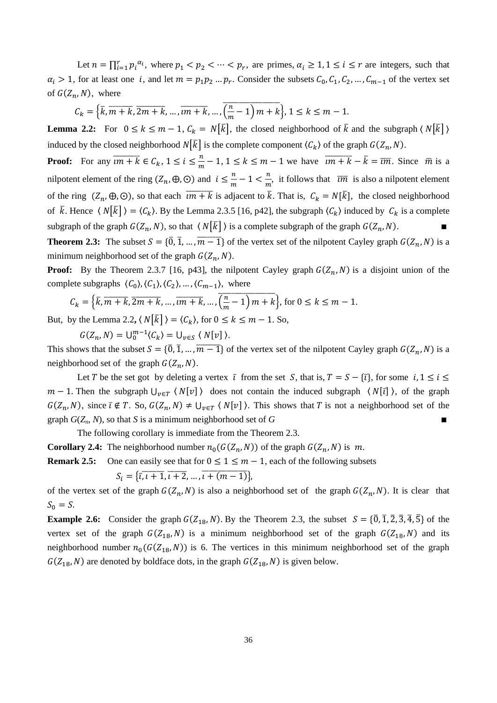Let  $n = \prod_{i=1}^r p_i^{\alpha_i}$ , where  $p_1 < p_2 < \cdots < p_r$ , are primes,  $\alpha_i \geq 1, 1 \leq i \leq r$  are integers, such that  $\alpha_i > 1$ , for at least one *i*, and let  $m = p_1 p_2 ... p_r$ . Consider the subsets  $C_0, C_1, C_2, ..., C_{m-1}$  of the vertex set of  $G(Z_n, N)$ , where

$$
C_k = \left\{ \overline{k}, \overline{m+k}, \overline{2m+k}, \dots, \overline{im+k}, \dots, \overline{\left(\frac{n}{m}-1\right)m+k} \right\}, 1 \le k \le m-1.
$$

**Lemma 2.2:** For  $0 \le k \le m-1$ ,  $C_k = N[\overline{k}]$ , the closed neighborhood of  $\overline{k}$  and the subgraph  $\langle N[\overline{k}] \rangle$ induced by the closed neighborhood  $N[\bar{k}]$  is the complete component  $\langle C_k \rangle$  of the graph  $G(Z_n, N)$ .

**Proof:** For any  $\overline{im+k} \in C_k$ ,  $1 \leq i \leq \frac{n}{n}$  $\frac{n}{m} - 1$ ,  $1 \le k \le m - 1$  we have  $\overline{im + k} - \overline{k} = \overline{im}$ . Since  $\overline{m}$  is a nilpotent element of the ring  $(Z_n, \oplus, \odot)$  and  $i \leq \frac{n}{n}$  $\frac{n}{m}-1<\frac{n}{m}$  $\frac{n}{m}$ , it follows that  $\overline{im}$  is also a nilpotent element of the ring  $(Z_n, \oplus, \odot)$ , so that each  $\overline{im+k}$  is adjacent to  $\overline{k}$ . That is,  $C_k = N[\overline{k}]$ , the closed neighborhood of  $\bar{k}$ . Hence  $\langle N|\bar{k}| \rangle = \langle C_k \rangle$ . By the Lemma 2.3.5 [16, p42], the subgraph  $\langle C_k \rangle$  induced by  $C_k$  is a complete subgraph of the graph  $G(Z_n, N)$ , so that  $\langle N[\overline{k}] \rangle$  is a complete subgraph of the graph  $G(Z_n, N)$ .

**Theorem 2.3:** The subset  $S = \{\overline{0}, \overline{1}, \dots, \overline{m-1}\}$  of the vertex set of the nilpotent Cayley graph  $G(Z_n, N)$  is a minimum neighborhood set of the graph  $G(Z_n, N)$ .

**Proof:** By the Theorem 2.3.7 [16, p43], the nilpotent Cayley graph  $G(Z_n, N)$  is a disjoint union of the complete subgraphs  $\langle C_0 \rangle$ ,  $\langle C_1 \rangle$ ,  $\langle C_2 \rangle$ , ...,  $\langle C_{m-1} \rangle$ , where

$$
C_k = \left\{ \overline{k}, \overline{m+k}, \overline{2m+k}, \dots, \overline{rm+k}, \dots, \overline{\left(\frac{n}{m}-1\right)m+k} \right\}, \text{ for } 0 \le k \le m-1.
$$

But, by the Lemma 2.2,  $\langle N|\overline{k}| \rangle = \langle C_k \rangle$ , for  $0 \le k \le m - 1$ . So,

 $G(Z_n, N) = \bigcup_{0}^{m-1} \langle C_k \rangle = \bigcup_{v \in S} \langle N[v] \rangle.$ 

This shows that the subset  $S = \{0, 1, ..., m-1\}$  of the vertex set of the nilpotent Cayley graph  $G(Z_n, N)$  is a neighborhood set of the graph  $G(Z_n, N)$ .

Let T be the set got by deleting a vertex  $\bar{\iota}$  from the set S, that is,  $T = S - {\bar{\iota}}$ , for some  $i, 1 \le i \le$  $m-1$ . Then the subgraph  $\bigcup_{v \in T} \langle N[v] \rangle$  does not contain the induced subgraph  $\langle N[\bar{v}] \rangle$ , of the graph  $G(Z_n, N)$ , since  $\overline{\iota} \notin T$ . So,  $G(Z_n, N) \neq \bigcup_{v \in T} \langle N[v] \rangle$ . This shows that T is not a neighborhood set of the graph  $G(Z_n, N)$ , so that *S* is a minimum neighborhood set of *G* 

The following corollary is immediate from the Theorem 2.3.

**Corollary 2.4:** The neighborhood number  $n_0(G(Z_n, N))$  of the graph  $G(Z_n, N)$  is m.

**Remark 2.5:** One can easily see that for  $0 \le 1 \le m - 1$ , each of the following subsets

$$
S_i = \{ \overline{i}, \overline{i+1}, \overline{i+2}, \dots, \overline{i+(m-1)} \}
$$

of the vertex set of the graph  $G(Z_n, N)$  is also a neighborhood set of the graph  $G(Z_n, N)$ . It is clear that  $S_0 = S$ .

**Example 2.6:** Consider the graph  $G(Z_{18}, N)$ . By the Theorem 2.3, the subset  $S = \{\overline{0}, \overline{1}, \overline{2}, \overline{3}, \overline{4}, \overline{5}\}$  of the vertex set of the graph  $G(Z_{18}, N)$  is a minimum neighborhood set of the graph  $G(Z_{18}, N)$  and its neighborhood number  $n_0(G(Z_{18}, N))$  is 6. The vertices in this minimum neighborhood set of the graph  $G(Z_{18}, N)$  are denoted by boldface dots, in the graph  $G(Z_{18}, N)$  is given below.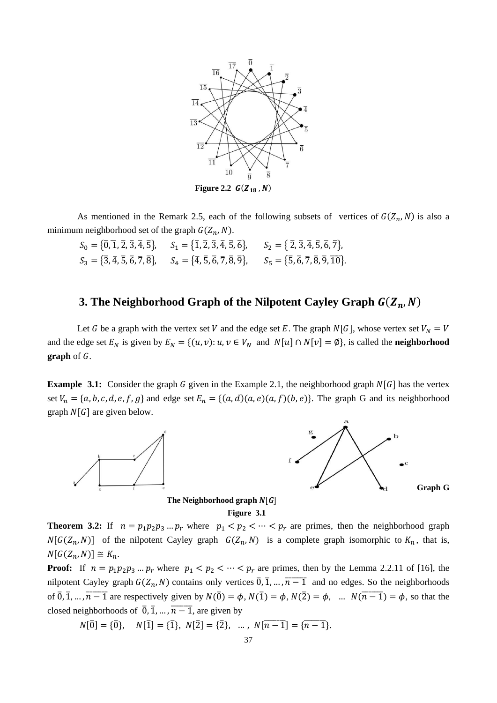

As mentioned in the Remark 2.5, each of the following subsets of vertices of  $G(Z_n, N)$  is also a minimum neighborhood set of the graph  $G(Z_n, N)$ .

 $S_0 = \{\overline{0}, \overline{1}, \overline{2}, \overline{3}, \overline{4}, \overline{5}\},$   $S_1 = \{\overline{1}, \overline{2}, \overline{3}, \overline{4}, \overline{5}, \overline{6}\},$   $S_2 = \{\overline{2}, \overline{3}, \overline{4}, \overline{5}, \overline{6}, \overline{7}\},$  $S_3 = \{3, 4, 5, 6, 7, 8\},$   $S_4 = \{4, 5, 6, 7, 8, 9\},$   $S_5 = \{5, 6, 7, 8, 9, 10\}$ 

### **3. The Neighborhood Graph of the Nilpotent Cayley Graph**

Let G be a graph with the vertex set V and the edge set E. The graph  $N[G]$ , whose vertex set  $V_N = V$ and the edge set  $E_N$  is given by  $E_N = \{(u, v): u, v \in V_N \text{ and } N[u] \cap N[v] = \emptyset\}$ , is called the **neighborhood graph** of G.

**Example 3.1:** Consider the graph G given in the Example 2.1, the neighborhood graph  $N[G]$  has the vertex set  $V_n = \{a, b, c, d, e, f, g\}$  and edge set  $E_n = \{(a, d)(a, e)(a, f)(b, e)\}$ . The graph G and its neighborhood graph  $N[G]$  are given below.



 **The Neighborhood graph**



**Theorem 3.2:** If  $n = p_1 p_2 p_3 ... p_r$  where  $p_1 < p_2 < ... < p_r$  are primes, then the neighborhood graph  $N[G(Z_n, N)]$  of the nilpotent Cayley graph  $G(Z_n, N)$  is a complete graph isomorphic to  $K_n$ , that is,  $N[G(Z_n,N)] \cong K_n$ .

**Proof:** If  $n = p_1p_2p_3...p_r$  where  $p_1 < p_2 < ... < p_r$  are primes, then by the Lemma 2.2.11 of [16], the nilpotent Cayley graph  $G(Z_n, N)$  contains only vertices  $\overline{0}, \overline{1}, \dots, \overline{n-1}$  and no edges. So the neighborhoods of  $\overline{0}$ ,  $\overline{1}$ , ...,  $\overline{n-1}$  are respectively given by  $N(\overline{0}) = \phi$ ,  $N(\overline{1}) = \phi$ ,  $N(\overline{2}) = \phi$ , ...  $N(\overline{n-1}) = \phi$ , so that the closed neighborhoods of  $\overline{0}$ ,  $\overline{1}$ , ...,  $\overline{n-1}$ , are given by

$$
N[\overline{0}] = {\overline{0}}, \quad N[\overline{1}] = {\overline{1}}, \quad N[\overline{2}] = {\overline{2}}, \quad \dots, \quad N[\overline{n-1}] = {\overline{n-1}}.
$$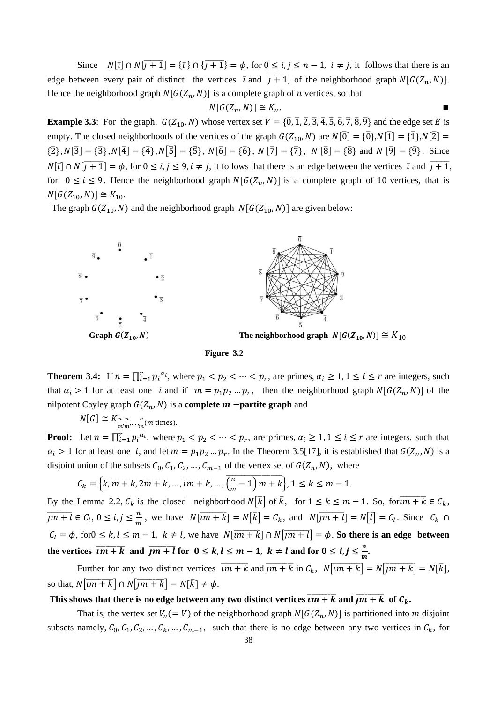Since  $N[\bar{i}] \cap N[\bar{i}+1] = {\bar{i}} \cap {\bar{i}}+1$  =  $\phi$ , for  $0 \le i, j \le n-1$ ,  $i \ne j$ , it follows that there is an edge between every pair of distinct the vertices  $\bar{\iota}$  and  $\bar{\iota} + 1$ , of the neighborhood graph  $N[G(Z_n, N)]$ . Hence the neighborhood graph  $N[G(Z_n, N)]$  is a complete graph of *n* vertices, so that

$$
N[G(Z_n, N)] \cong K_n.
$$

**Example 3.3**: For the graph,  $G(Z_{10}, N)$  whose vertex set  $V = \{\overline{0}, \overline{1}, \overline{2}, \overline{3}, \overline{4}, \overline{5}, \overline{6}, \overline{7}, \overline{8}, \overline{9}\}\$  and the edge set E is empty. The closed neighborhoods of the vertices of the graph  $G(Z_{10}, N)$  are  $N[\overline{0}] = {\overline{0}}/N[\overline{1}] = {\overline{1}}/N[\overline{2}] =$  $\{2\}, N[\overline{3}] = \{\overline{3}\}, N[\overline{4}] = \{\overline{4}\}, N[\overline{5}] = \{\overline{5}\}, N[\overline{6}] = \{\overline{6}\}, N[\overline{7}] = \{\overline{7}\}, N[\overline{8}] = \{\overline{8}\} \text{ and } N[\overline{9}] = \{\overline{9}\}.$  Since  $N[\bar{i}] \cap N[\bar{i}+1] = \phi$ , for  $0 \le i, j \le 9, i \ne j$ , it follows that there is an edge between the vertices  $\bar{i}$  and  $\bar{i}+1$ , for  $0 \le i \le 9$ . Hence the neighborhood graph  $N[G(Z_n, N)]$  is a complete graph of 10 vertices, that is  $N[G(Z_{10}, N)] \cong K_{10}.$ 

The graph  $G(Z_{10}, N)$  and the neighborhood graph  $N[G(Z_{10}, N)]$  are given below:





**Theorem 3.4:** If  $n = \prod_{i=1}^r p_i^{\alpha_i}$ , where  $p_1 < p_2 < \cdots < p_r$ , are primes,  $\alpha_i \geq 1, 1 \leq i \leq r$  are integers, such that  $\alpha_i > 1$  for at least one i and if  $m = p_1 p_2 ... p_r$ , then the neighborhood graph  $N[G(Z_n, N)]$  of the nilpotent Cayley graph  $G(Z_n, N)$  is a **complete m -partite graph** and

 $N[G] \cong K_{\frac{n}{m'm'}}$  $\frac{n}{m'}\cdots\frac{n}{m}$  $\frac{n}{m}$ (

**Proof:** Let  $n = \prod_{i=1}^r p_i^{\alpha_i}$ , where  $p_1 < p_2 < \cdots < p_r$ , are primes,  $\alpha_i \geq 1, 1 \leq i \leq r$  are integers, such that  $\alpha_i > 1$  for at least one i, and let  $m = p_1 p_2 ... p_r$ . In the Theorem 3.5[17], it is established that  $G(Z_n, N)$  is a disjoint union of the subsets  $C_0, C_1, C_2, ..., C_{m-1}$  of the vertex set of  $G(Z_n, N)$ , where

$$
C_k = \left\{ \overline{k}, \overline{m+k}, \overline{2m+k}, \dots, \overline{im+k}, \dots, \overline{\left(\frac{n}{m}-1\right)m+k} \right\}, 1 \le k \le m-1.
$$

By the Lemma 2.2,  $C_k$  is the closed neighborhood  $N[\bar{k}]$  of  $\bar{k}$ , for  $1 \le k \le m - 1$ . So, for  $\overline{im + k} \in C_k$ ,  $\overline{jm+l} \in C_l, 0 \leq i, j \leq \frac{n}{m}$  $\frac{n}{m}$ , we have  $N[\overline{im+k}] = N[\overline{k}] = C_k$ , and  $N[\overline{jm+l}] = N[\overline{l}] = C_l$ . Since C  $C_l = \phi$ , for  $0 \le k, l \le m-1, k \ne l$ , we have  $N[\overline{im+k}] \cap N[\overline{jm+l}] = \phi$ . So there is an edge between the vertices  $\overline{im+k}$  and  $\overline{jm+l}$  for  $0 \le k, l \le m-1, k \ne l$  and for  $0 \le i, j \le \frac{n}{m}$  $\frac{n}{m}$ 

Further for any two distinct vertices  $\overline{im+k}$  and  $\overline{jm+k}$  in  $C_k$ ,  $N[\overline{im+k}] = N[\overline{jm+k}] = N[\overline{k}]$ , so that,  $N[\overline{im+k}] \cap N[\overline{jm+k}] = N[\overline{k}] \neq \phi$ .

#### This shows that there is no edge between any two distinct vertices  $\overline{im+k}$  and  $\overline{jm+k}$  of  $C_k$ .

That is, the vertex set  $V_n(=V)$  of the neighborhood graph  $N[G(Z_n, N)]$  is partitioned into m disjoint subsets namely,  $C_0$ ,  $C_1$ ,  $C_2$ , ...,  $C_k$ , ...,  $C_{m-1}$ , such that there is no edge between any two vertices in  $C_k$ , for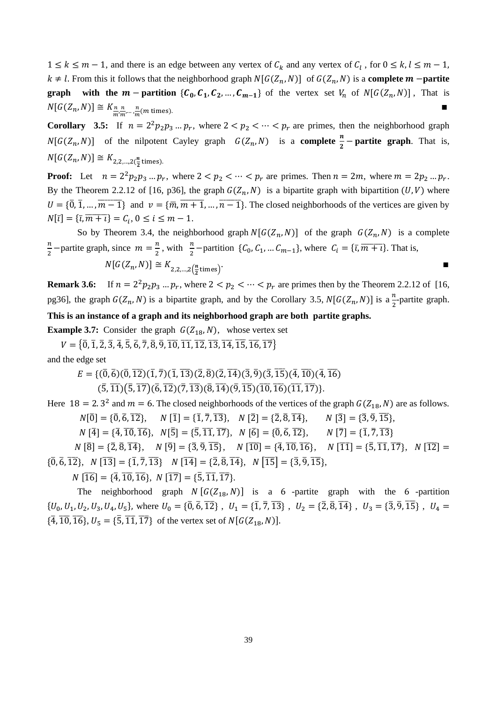$1 \leq k \leq m-1$ , and there is an edge between any vertex of  $C_k$  and any vertex of  $C_l$ , for 0  $k \neq l$ . From this it follows that the neighborhood graph  $N[G(Z_n, N)]$  of  $G(Z_n, N)$  is a **complete m** – **partite graph** with the  $m$  - partition  $\{C_0, C_1, C_2, ..., C_{m-1}\}$  of the vertex set  $V_n$  of  $N[G(Z_n, N)]$ , That is  $N[G(Z_n,N)] \cong K_{\frac{n}{m}\frac{n}{m}}$  $\frac{n}{m'}\cdots\frac{n}{m}$  $\frac{n}{m}$ (

**Corollary** 3.5: If  $n = 2^2 p_2 p_3 ... p_r$ , where  $2 < p_2 < ... < p_r$  are primes, then the neighborhood graph  $N[G(Z_n, N)]$  of the nilpotent Cayley graph  $G(Z_n, N)$  is a **complete**  $\frac{n}{2}$  **partite graph**. That is,  $N[G(Z_n,N)] \cong K_{2,2,2}$  $\frac{n}{2}$ t

**Proof:** Let  $n = 2^2 p_2 p_3 ... p_r$ , where  $2 < p_2 < ... < p_r$  are primes. Then  $n = 2m$ , where  $m = 2p_2 ... p_r$ . By the Theorem 2.2.12 of [16, p36], the graph  $G(Z_n, N)$  is a bipartite graph with bipartition  $(U, V)$  where  $U = \{\overline{0}, \overline{1}, \dots, \overline{m-1}\}\$ and  $v = \{\overline{m}, \overline{m+1}, \dots, \overline{n-1}\}\$ . The closed neighborhoods of the vertices are given by  $N[\bar{i}] = {\bar{i}, \bar{m} + i} = C_i, 0 \le i \le m - 1.$ 

So by Theorem 3.4, the neighborhood graph  $N[G(Z_n, N)]$  of the graph  $G(Z_n, N)$  is a complete n  $\frac{n}{2}$  –partite graph, since  $m = \frac{n}{2}$  $\frac{\pi}{2}$ , with  $\frac{\pi}{2}$ -partition {C<sub>0</sub>, C<sub>1</sub>, ... C<sub>m-1</sub>}, where C<sub>i</sub> = { $\overline{\tau}$ ,  $\overline{m}$  +  $\overline{\tau}$ }. That is,  $N[G(Z_n,N)] \cong K_{2,2}$   $\Lambda$  $\frac{n}{2}$ times)<sup>.</sup>

**Remark 3.6:** If  $n = 2^2 p_2 p_3 ... p_r$ , where  $2 < p_2 < ... < p_r$  are primes then by the Theorem 2.2.12 of [16, pg36], the graph  $G(Z_n, N)$  is a bipartite graph, and by the Corollary 3.5,  $N[G(Z_n, N)]$  is a  $\frac{n}{2}$ -partite graph.

#### **This is an instance of a graph and its neighborhood graph are both partite graphs.**

**Example 3.7:** Consider the graph  $G(Z_{18}, N)$ , whose vertex set

 $V = \{ \overline{0}, \overline{1}, \overline{2}, \overline{3}, \overline{4}, \overline{5}, \overline{6}, \overline{7}, \overline{8}, \overline{9}, \overline{10}, \overline{11}, \overline{12}, \overline{13}, \overline{14}, \overline{15}, \overline{16}, \overline{17} \}$ and the edge set

 $E = \{(\overline{0}, \overline{6})(\overline{0}, \overline{12})(\overline{1}, \overline{7})(\overline{1}, \overline{13})(\overline{2}, \overline{8})(\overline{2}, \overline{14})(\overline{3}, \overline{9})(\overline{3}, \overline{15})(\overline{4}, \overline{10})(\overline{4}, \overline{16})\}$ 

 $(5,\overline{11})(\overline{5},\overline{17})(\overline{6},\overline{12})(\overline{7},\overline{13})(\overline{8},\overline{14})(\overline{9},\overline{15})(\overline{10},\overline{16})(\overline{11},\overline{17})\}.$ 

Here 18 = 2.3<sup>2</sup> and  $m = 6$ . The closed neighborhoods of the vertices of the graph  $G(Z_{18}, N)$  are as follows.  $N[\overline{0}] = {\overline{0}, \overline{6}, \overline{12}}, \quad N[\overline{1}] = {\overline{1}, \overline{7}, \overline{13}}, \quad N[\overline{2}] = {\overline{2}, \overline{8}, \overline{14}}, \quad N[\overline{3}] = {\overline{3}, \overline{9}, \overline{15}},$ 

 $N[\overline{4}] = \{\overline{4}, \overline{10}, \overline{16}\}, \ N[\overline{5}] = \{\overline{5}, \overline{11}, \overline{17}\}, \ N[\overline{6}] = \{\overline{0}, \overline{6}, \overline{12}\}, \ N[\overline{7}] = \{\overline{1}, \overline{7}, \overline{13}\}$ 

 $N[\overline{8}] = \{\overline{2}, \overline{8}, \overline{14}\}, \quad N[\overline{9}] = \{\overline{3}, \overline{9}, \overline{15}\}, \quad N[\overline{10}] = \{\overline{4}, \overline{10}, \overline{16}\}, \quad N[\overline{11}] = \{\overline{5}, \overline{11}, \overline{17}\}, \quad N[\overline{12}] =$  $\{0, 6, 12\}, N \{13\} = \{1, 7, 13\}$   $N \{14\} = \{2, 8, 14\}, N \{15\} = \{3, 9, 15\},$ 

 $N[\overline{16}] = {\overline{4}, \overline{10}, \overline{16}}, \ N[\overline{17}] = {\overline{5}, \overline{11}, \overline{17}}.$ 

The neighborhood graph  $N[G(Z_{18}, N)]$  is a 6-partite graph with the 6-partition  $\{U_0, U_1, U_2, U_3, U_4, U_5\}$ , where  $U_0 = \{\overline{0}, \overline{6}, \overline{12}\}$ ,  $U_1 = \{\overline{1}, \overline{7}, \overline{13}\}$ ,  $U_2 = \{\overline{2}, \overline{8}, \overline{14}\}$ ,  $U_3 = \{\overline{3}, \overline{9}, \overline{15}\}$ ,  $\{\overline{4}, \overline{10}, \overline{16}\}, U_5 = \{\overline{5}, \overline{11}, \overline{17}\}\$  of the vertex set of  $N[G(Z_{18}, N)].$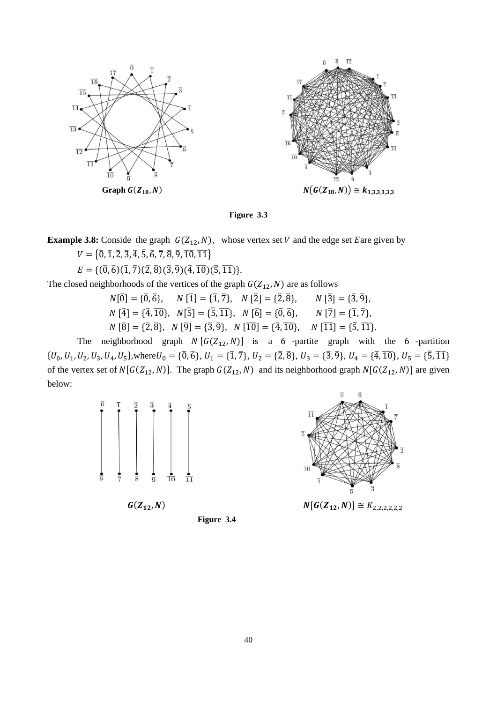

**Figure 3.3**

**Example 3.8:** Conside the graph  $G(Z_{12}, N)$ , whose vertex set V and the edge set Eare given by

 $V = \{\overline{0}, \overline{1}, \overline{2}, \overline{3}, \overline{4}, \overline{5}, \overline{6}, \overline{7}, \overline{8}, \overline{9}, \overline{10}, \overline{11}\}\$ 

 $E = \{(\overline{0}, \overline{6})(\overline{1}, \overline{7})(\overline{2}, \overline{8})(\overline{3}, \overline{9})(\overline{4}, \overline{10})(\overline{5}, \overline{11})\}.$ 

The closed neighborhoods of the vertices of the graph  $G(Z_{12}, N)$  are as follows

$$
N[\overline{0}] = {\overline{0}, \overline{6}}, \quad N[\overline{1}] = {\overline{1}, \overline{7}}, \quad N[\overline{2}] = {\overline{2}, \overline{8}}, \quad N[\overline{3}] = {\overline{3}, \overline{9}},
$$
  
\n
$$
N[\overline{4}] = {\overline{4}, \overline{10}}, \quad N[\overline{5}] = {\overline{5}, \overline{11}}, \quad N[\overline{6}] = {\overline{0}, \overline{6}}, \quad N[\overline{7}] = {\overline{1}, \overline{7}},
$$
  
\n
$$
N[\overline{8}] = {\overline{2}, \overline{8}}, \quad N[\overline{9}] = {\overline{3}, \overline{9}}, \quad N[\overline{10}] = {\overline{4}, \overline{10}}, \quad N[\overline{11}] = {\overline{5}, \overline{11}}.
$$

The neighborhood graph  $N[G(Z_{12}, N)]$  is a 6-partite graph with the 6-partition  $\{U_0, U_1, U_2, U_3, U_4, U_5\}$ , where  $U_0 = \{\overline{0}, \overline{6}\}, U_1 = \{\overline{1}, \overline{7}\}, U_2 = \{\overline{2}, \overline{8}\}, U_3 = \{\overline{3}, \overline{9}\}, U_4 = \{\overline{4}, \overline{10}\},$ of the vertex set of  $N[G(Z_{12}, N)]$ . The graph  $G(Z_{12}, N)$  and its neighborhood graph  $N[G(Z_{12}, N)]$  are given below:



 $G(Z_{12}, N)$ 





 $N[G(Z_{12}, N)] \cong K_{2,2,2,2,2,2}$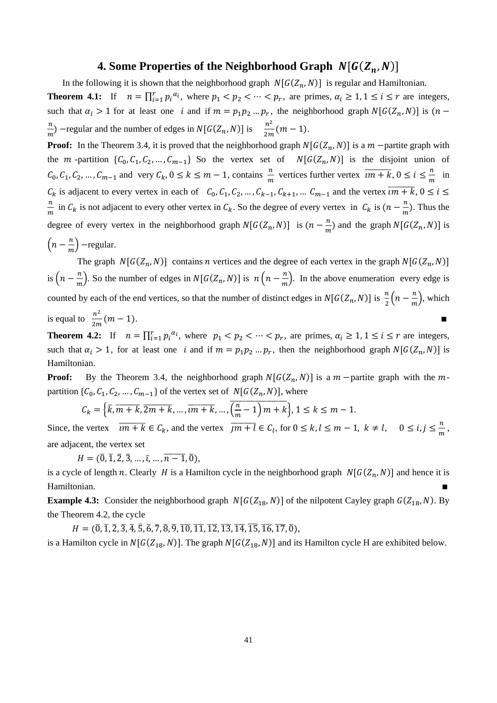#### **4. Some Properties of the Neighborhood Graph**  $N[G(Z_n, N)]$

In the following it is shown that the neighborhood graph  $N[G(Z_n, N)]$  is regular and Hamiltonian.

**Theorem 4.1:** If  $n = \prod_{i=1}^r p_i^{\alpha_i}$ , where  $p_1 < p_2 < \cdots < p_r$ , are primes,  $\alpha_i \geq 1, 1 \leq i \leq r$  are integers, such that  $\alpha_i > 1$  for at least one i and if  $m = p_1 p_2 ... p_r$ , the neighborhood graph  $N[G(Z_n, N)]$  is n  $\frac{n}{m}$ ) – regular and the number of edges in  $N[G(Z_n, N)]$  is  $\frac{n^2}{2m}$  $\frac{n}{2m}(m-1).$ 

**Proof:** In the Theorem 3.4, it is proved that the neighborhood graph  $N[G(Z_n, N)]$  is a  $m$  -partite graph with the  $m$ -partition  $\{C_0, C_1, C_2, ..., C_{m-1}\}$  So the vertex set of  $N[G(Z_n, N)]$  is the disjoint union of  $C_0, C_1, C_2, ..., C_{m-1}$  and very  $C_k, 0 \le k \le m-1$ , contains  $\frac{n}{m}$  vertices further vertex  $\overline{im+k}, 0 \le i \le \frac{n}{m}$  $\frac{n}{m}$  in  $C_k$  is adjacent to every vertex in each of  $C_0, C_1, C_2, ..., C_{k-1}, C_{k+1}, ... C_{m-1}$  and the vertex  $\overline{im+k}$ ,  $0 \le i \le n$  $\boldsymbol{n}$  $\frac{n}{m}$  in  $C_k$  is not adjacent to every other vertex in  $C_k$ . So the degree of every vertex in  $C_k$  is  $(n - \frac{n}{m})$  $\frac{n}{m}$ ). Thus the degree of every vertex in the neighborhood graph  $N[G(Z_n, N)]$  is  $(n - \frac{n}{n})$  $\frac{n}{m}$ ) and the graph  $N[G(Z_n, N)]$  is  $\left(n-\frac{n}{n}\right)$  $\frac{n}{m}$ ) -regular.

The graph  $N[G(Z_n, N)]$  contains *n* vertices and the degree of each vertex in the graph  $N[G(Z_n, N)]$ is  $\left(n-\frac{n}{n}\right)$  $\frac{n}{m}$ . So the number of edges in  $N[G(Z_n, N)]$  is  $n\left(n - \frac{n}{m}\right)$ .  $\frac{n}{m}$ ). In the above enumeration every edge is counted by each of the end vertices, so that the number of distinct edges in  $N[G(Z_n, N)]$  is  $\frac{n}{2}\left(n - \frac{n}{m}\right)$  $\frac{n}{m}$ , which is equal to  $\frac{n^2}{2n}$  $\frac{n}{2m}(m-1).$  $\blacksquare$ 

**Theorem 4.2:** If  $n = \prod_{i=1}^r p_i^{\alpha_i}$ , where  $p_1 < p_2 < \cdots < p_r$ , are primes,  $\alpha_i \geq 1, 1 \leq i \leq r$  are integers, such that  $\alpha_i > 1$ , for at least one i and if  $m = p_1 p_2 ... p_r$ , then the neighborhood graph  $N[G(Z_n, N)]$  is Hamiltonian.

**Proof:** By the Theorem 3.4, the neighborhood graph  $N[G(Z_n, N)]$  is a  $m$  -partite graph with the  $m$ partition  $\{C_0, C_1, C_2, ..., C_{m-1}\}$  of the vertex set of  $N[G(Z_n, N)]$ , where

$$
C_k = \left\{ \overline{k}, \overline{m+k}, \overline{2m+k}, \dots, \overline{im+k}, \dots, \overline{\left(\frac{n}{m}-1\right)m+k} \right\}, 1 \le k \le m-1.
$$

Since, the vertex  $\overline{im+k} \in C_k$ , and the vertex  $\overline{jm+l} \in C_l$ , for  $0 \le k, l \le m-1, k \ne l, 0 \le i, j \le \frac{n}{m}$  $\frac{n}{m}$ , are adjacent, the vertex set

 $H = (\overline{0}, \overline{1}, \overline{2}, \overline{3}, \ldots, \overline{i}, \ldots, \overline{n-1}, \overline{0}),$ 

is a cycle of length n. Clearly H is a Hamilton cycle in the neighborhood graph  $N[G(Z_n, N)]$  and hence it is Hamiltonian.

**Example 4.3:** Consider the neighborhood graph  $N[G(Z_{18}, N)]$  of the nilpotent Cayley graph  $G(Z_{18}, N)$ . By the Theorem 4.2, the cycle

 $H = (\overline{0}, \overline{1}, \overline{2}, \overline{3}, \overline{4}, \overline{5}, \overline{6}, \overline{7}, \overline{8}, \overline{9}, \overline{10}, \overline{11}, \overline{12}, \overline{13}, \overline{14}, \overline{15}, \overline{16}, \overline{17}, \overline{0}),$ 

is a Hamilton cycle in  $N[G(Z_{18}, N)]$ . The graph  $N[G(Z_{18}, N)]$  and its Hamilton cycle H are exhibited below.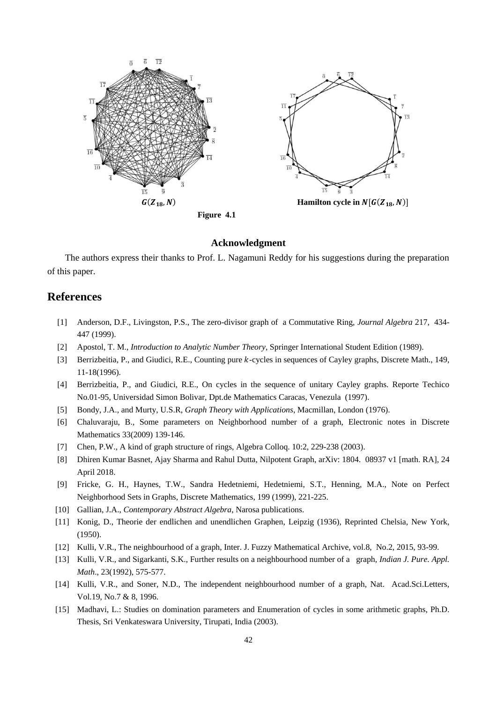

#### **Acknowledgment**

The authors express their thanks to Prof. L. Nagamuni Reddy for his suggestions during the preparation of this paper.

# **References**

- [1] Anderson, D.F., Livingston, P.S., The zero-divisor graph of a Commutative Ring, *Journal Algebra* 217, 434- 447 (1999).
- [2] Apostol, T. M., *Introduction to Analytic Number Theory*, Springer International Student Edition (1989).
- [3] Berrizbeitia, P., and Giudici, R.E., Counting pure k-cycles in sequences of Cayley graphs, Discrete Math., 149, 11-18(1996).
- [4] Berrizbeitia, P., and Giudici, R.E., On cycles in the sequence of unitary Cayley graphs. Reporte Techico No.01-95, Universidad Simon Bolivar, Dpt.de Mathematics Caracas, Venezula (1997).
- [5] Bondy, J.A., and Murty, U.S.R, *Graph Theory with Applications*, Macmillan, London (1976).
- [6] Chaluvaraju, B., Some parameters on Neighborhood number of a graph, Electronic notes in Discrete Mathematics 33(2009) 139-146.
- [7] Chen, P.W., A kind of graph structure of rings, Algebra Colloq. 10:2, 229-238 (2003).
- [8] Dhiren Kumar Basnet, Ajay Sharma and Rahul Dutta, Nilpotent Graph, arXiv: 1804. 08937 v1 [math. RA], 24 April 2018.
- [9] Fricke, G. H., Haynes, T.W., Sandra Hedetniemi, Hedetniemi, S.T., Henning, M.A., Note on Perfect Neighborhood Sets in Graphs, Discrete Mathematics, 199 (1999), 221-225.
- [10] Gallian, J.A., *Contemporary Abstract Algebra*, Narosa publications.
- [11] Konig, D., Theorie der endlichen and unendlichen Graphen, Leipzig (1936), Reprinted Chelsia, New York, (1950).
- [12] Kulli, V.R., The neighbourhood of a graph, Inter. J. Fuzzy Mathematical Archive, vol.8, No.2, 2015, 93-99.
- [13] Kulli, V.R., and Sigarkanti, S.K., Further results on a neighbourhood number of a graph, *Indian J. Pure. Appl. Math*., 23(1992), 575-577.
- [14] Kulli, V.R., and Soner, N.D., The independent neighbourhood number of a graph, Nat. Acad.Sci.Letters, Vol.19, No.7 & 8, 1996.
- [15] Madhavi, L.: Studies on domination parameters and Enumeration of cycles in some arithmetic graphs, Ph.D. Thesis, Sri Venkateswara University, Tirupati, India (2003).